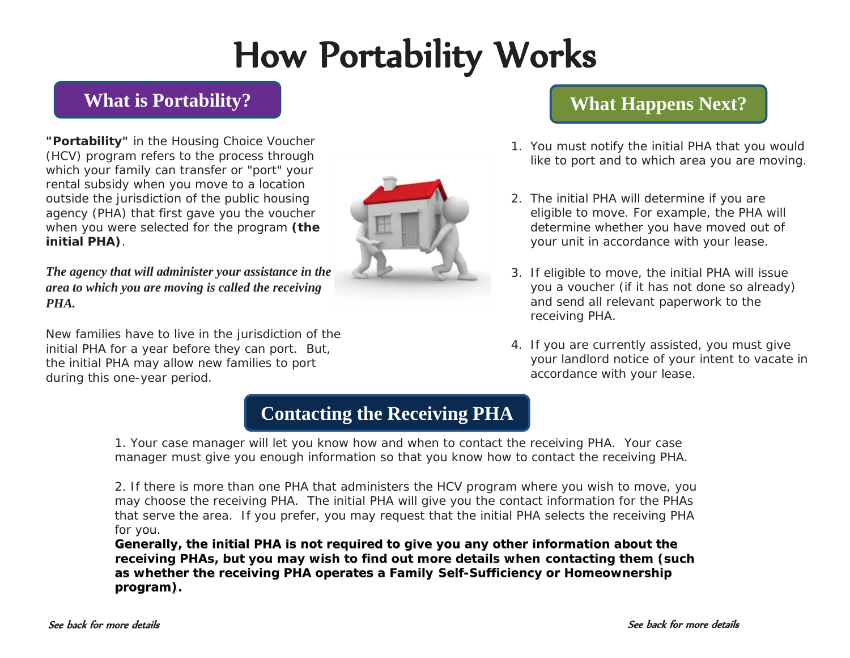# How Portability Works

#### **What is Portability?**

**"Portability"** in the Housing Choice Voucher (HCV) program refers to the process through which your family can transfer or "port" your rental subsidy when you move to a location outside the jurisdiction of the public housing agency (PHA) that first gave you the voucher when you were selected for the program **(the initial PHA)**.

*The agency that will administer your assistance in the area to which you are moving is called the receiving PHA.* 

New families have to live in the jurisdiction of the initial PHA for a year before they can port. But, the initial PHA may allow new families to port during this one-year period.



#### **What Happens Next?**

- 1. You must notify the initial PHA that you would like to port and to which area you are moving.
- 2. The initial PHA will determine if you are eligible to move. For example, the PHA will determine whether you have moved out of your unit in accordance with your lease.
- 3. If eligible to move, the initial PHA will issue you a voucher (if it has not done so already) and send all relevant paperwork to the receiving PHA.
- 4. If you are currently assisted, you must give your landlord notice of your intent to vacate in accordance with your lease.

### **Contacting the Receiving PHA**

1. Your case manager will let you know how and when to contact the receiving PHA. Your case manager must give you enough information so that you know how to contact the receiving PHA.

2. If there is more than one PHA that administers the HCV program where you wish to move, you may choose the receiving PHA. The initial PHA will give you the contact information for the PHAs that serve the area. If you prefer, you may request that the initial PHA selects the receiving PHA for you. for you.

Generally, the initial PHA is not required to give you any other information about the receiving PHAs, but you may wish to find out more details when contacting them (such as whether the receiving PHA operates a Family Self-Sufficiency or Homeownership **program). program) ).**